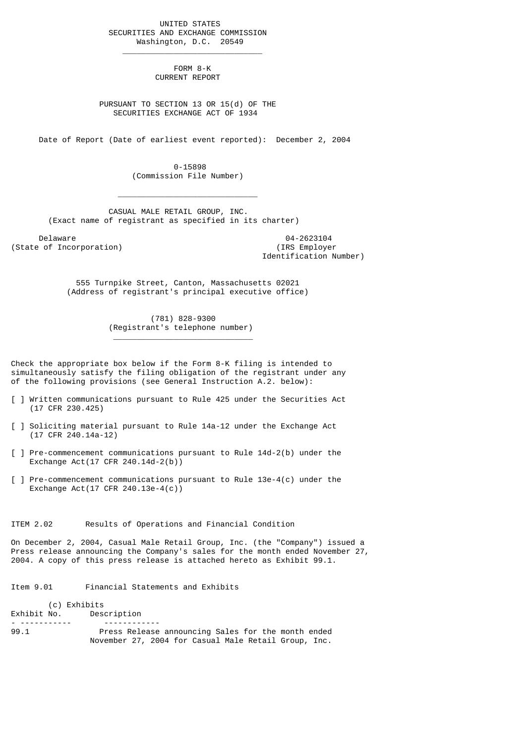UNITED STATES SECURITIES AND EXCHANGE COMMISSION Washington, D.C. 20549

 $\frac{1}{2}$  , and the set of the set of the set of the set of the set of the set of the set of the set of the set of the set of the set of the set of the set of the set of the set of the set of the set of the set of the set

 $\mathcal{L}_\text{max}$  and  $\mathcal{L}_\text{max}$  and  $\mathcal{L}_\text{max}$  and  $\mathcal{L}_\text{max}$  and  $\mathcal{L}_\text{max}$ 

\_\_\_\_\_\_\_\_\_\_\_\_\_\_\_\_\_\_\_\_\_\_\_\_\_\_\_\_\_\_

 FORM 8-K CURRENT REPORT

 PURSUANT TO SECTION 13 OR 15(d) OF THE SECURITIES EXCHANGE ACT OF 1934

Date of Report (Date of earliest event reported): December 2, 2004

 0-15898 (Commission File Number)

 CASUAL MALE RETAIL GROUP, INC. (Exact name of registrant as specified in its charter)

Delaware 04-2623104<br>
Delaware 04-2623104<br>
Of Incorporation (State of Incorporation)

Identification Number)

 555 Turnpike Street, Canton, Massachusetts 02021 (Address of registrant's principal executive office)

> (781) 828-9300 (Registrant's telephone number)

Check the appropriate box below if the Form 8-K filing is intended to simultaneously satisfy the filing obligation of the registrant under any of the following provisions (see General Instruction A.2. below):

- [ ] Written communications pursuant to Rule 425 under the Securities Act (17 CFR 230.425)
- [ ] Soliciting material pursuant to Rule 14a-12 under the Exchange Act (17 CFR 240.14a-12)
- [ ] Pre-commencement communications pursuant to Rule 14d-2(b) under the Exchange Act(17 CFR 240.14d-2(b))
- [ ] Pre-commencement communications pursuant to Rule 13e-4(c) under the Exchange Act(17 CFR 240.13e-4(c))

ITEM 2.02 Results of Operations and Financial Condition

On December 2, 2004, Casual Male Retail Group, Inc. (the "Company") issued a Press release announcing the Company's sales for the month ended November 27, 2004. A copy of this press release is attached hereto as Exhibit 99.1.

Item 9.01 Financial Statements and Exhibits

(c) Exhibits<br>Exhibit No. Deso Description - ----------- ------------ Press Release announcing Sales for the month ended November 27, 2004 for Casual Male Retail Group, Inc.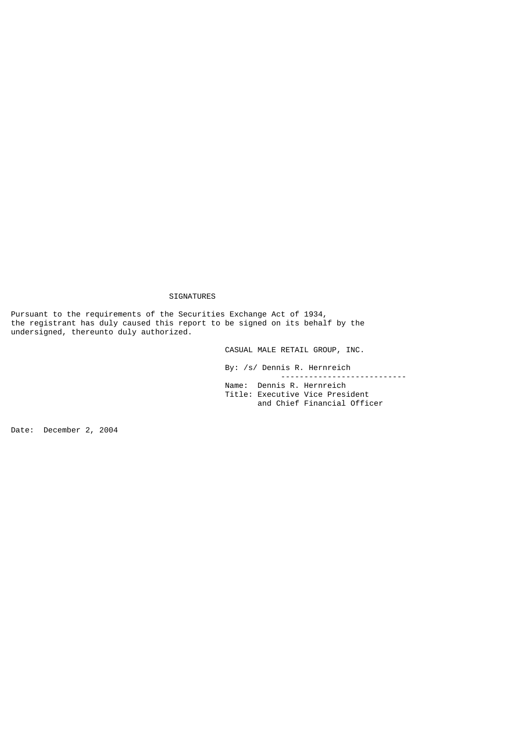## SIGNATURES

Pursuant to the requirements of the Securities Exchange Act of 1934, the registrant has duly caused this report to be signed on its behalf by the undersigned, thereunto duly authorized.

CASUAL MALE RETAIL GROUP, INC.

 By: /s/ Dennis R. Hernreich --------------------------- Name: Dennis R. Hernreich Title: Executive Vice President and Chief Financial Officer

Date: December 2, 2004